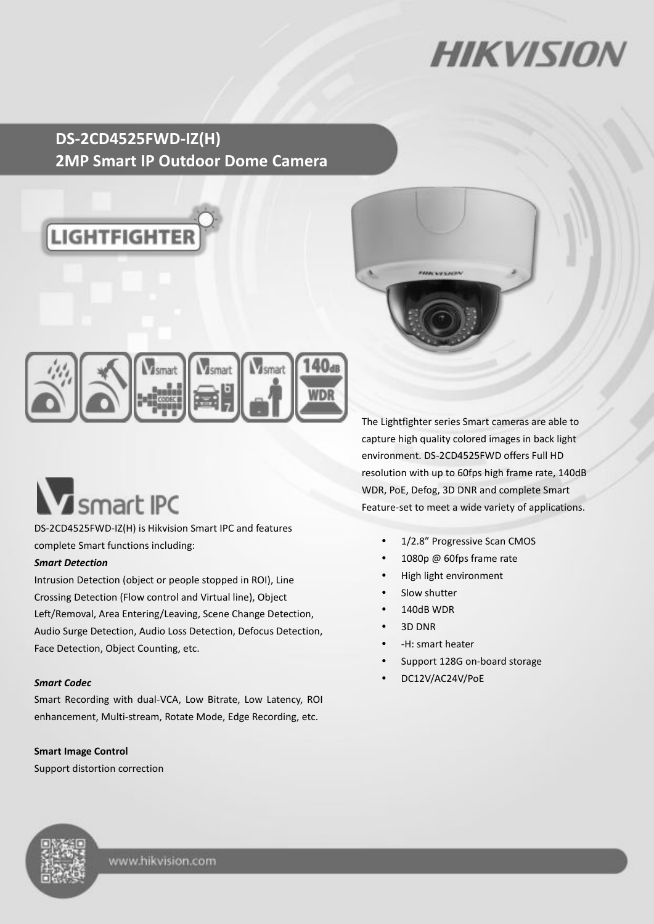# **HIKVISIO**

### **DS-2CD4525FWD-IZ(H) 2MP Smart IP Outdoor Dome Camera**





# **V** smart IPC

DS-2CD4525FWD-IZ(H) is Hikvision Smart IPC and features complete Smart functions including:

#### *Smart Detection*

Intrusion Detection (object or people stopped in ROI), Line Crossing Detection (Flow control and Virtual line), Object Left/Removal, Area Entering/Leaving, Scene Change Detection, Audio Surge Detection, Audio Loss Detection, Defocus Detection, Face Detection, Object Counting, etc.

#### *Smart Codec*

Smart Recording with dual-VCA, Low Bitrate, Low Latency, ROI enhancement, Multi-stream, Rotate Mode, Edge Recording, etc.

#### **Smart Image Control**

Support distortion correction

The Lightfighter series Smart cameras are able to capture high quality colored images in back light environment. DS-2CD4525FWD offers Full HD resolution with up to 60fps high frame rate, 140dB WDR, PoE, Defog, 3D DNR and complete Smart Feature-set to meet a wide variety of applications.

- 1/2.8" Progressive Scan CMOS
- 1080p @ 60fps frame rate
- High light environment
- Slow shutter
- 140dB WDR
- 3D DNR
- -H: smart heater
- Support 128G on-board storage
- DC12V/AC24V/PoE

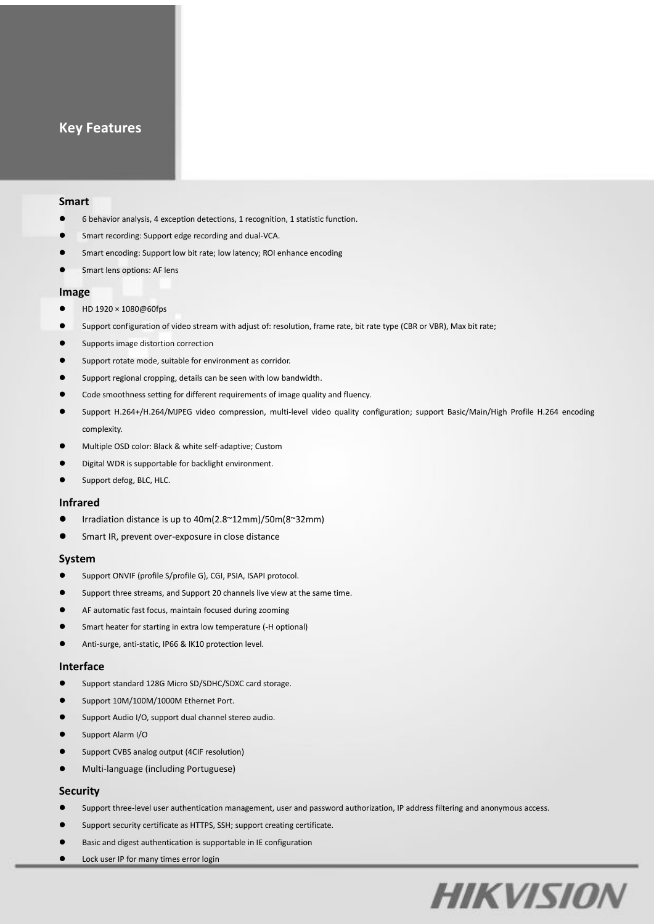#### **Key Features**

#### **Smart**

- 6 behavior analysis, 4 exception detections, 1 recognition, 1 statistic function.
- Smart recording: Support edge recording and dual-VCA.
- Smart encoding: Support low bit rate; low latency; ROI enhance encoding
- Smart lens options: AF lens

#### **Image**

- HD 1920 × 1080@60fps
- Support configuration of video stream with adjust of: resolution, frame rate, bit rate type (CBR or VBR), Max bit rate;
- Supports image distortion correction
- Support rotate mode, suitable for environment as corridor.
- Support regional cropping, details can be seen with low bandwidth.
- Code smoothness setting for different requirements of image quality and fluency.
- Support H.264+/H.264/MJPEG video compression, multi-level video quality configuration; support Basic/Main/High Profile H.264 encoding complexity.
- Multiple OSD color: Black & white self-adaptive; Custom
- Digital WDR is supportable for backlight environment.
- Support defog, BLC, HLC.

#### **Infrared**

- Irradiation distance is up to 40m(2.8~12mm)/50m(8~32mm)
- **Smart IR, prevent over-exposure in close distance**

#### **System**

- Support ONVIF (profile S/profile G), CGI, PSIA, ISAPI protocol.
- Support three streams, and Support 20 channels live view at the same time.
- AF automatic fast focus, maintain focused during zooming
- Smart heater for starting in extra low temperature (-H optional)
- Anti-surge, anti-static, IP66 & IK10 protection level.

#### **Interface**

- Support standard 128G Micro SD/SDHC/SDXC card storage.
- Support 10M/100M/1000M Ethernet Port.
- Support Audio I/O, support dual channel stereo audio.
- Support Alarm I/O
- Support CVBS analog output (4CIF resolution)
- Multi-language (including Portuguese)

#### **Security**

- Support three-level user authentication management, user and password authorization, IP address filtering and anonymous access.
- Support security certificate as HTTPS, SSH; support creating certificate.
- Basic and digest authentication is supportable in IE configuration
- **•** Lock user IP for many times error login

# **HIKVISION**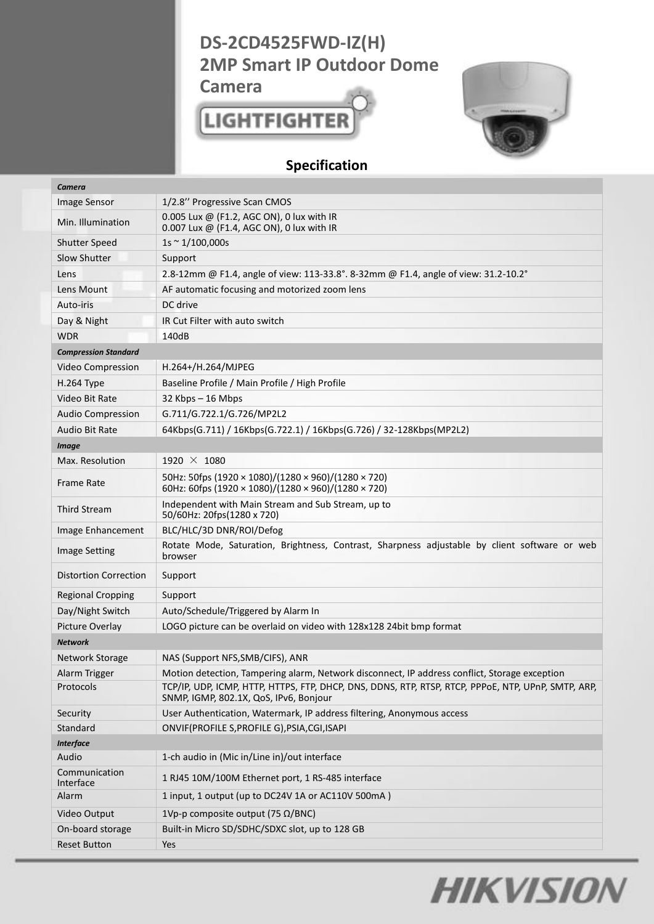## **DS-2CD4525FWD-IZ(H) 2MP Smart IP Outdoor Dome**

**Camera**

## **LIGHTFIGHTER**



### **Specification**

| Camera                       |                                                                                                                                               |  |
|------------------------------|-----------------------------------------------------------------------------------------------------------------------------------------------|--|
| <b>Image Sensor</b>          | 1/2.8" Progressive Scan CMOS                                                                                                                  |  |
| Min. Illumination            | 0.005 Lux @ (F1.2, AGC ON), 0 lux with IR<br>0.007 Lux @ (F1.4, AGC ON), 0 lux with IR                                                        |  |
| <b>Shutter Speed</b>         | $1s \sim 1/100,000s$                                                                                                                          |  |
| Slow Shutter                 | Support                                                                                                                                       |  |
| Lens                         | 2.8-12mm @ F1.4, angle of view: 113-33.8°. 8-32mm @ F1.4, angle of view: 31.2-10.2°                                                           |  |
| Lens Mount                   | AF automatic focusing and motorized zoom lens                                                                                                 |  |
| Auto-iris                    | DC drive                                                                                                                                      |  |
| Day & Night                  | IR Cut Filter with auto switch                                                                                                                |  |
| <b>WDR</b>                   | 140dB                                                                                                                                         |  |
| <b>Compression Standard</b>  |                                                                                                                                               |  |
| Video Compression            | $H.264+/H.264/MJPEG$                                                                                                                          |  |
| H.264 Type                   | Baseline Profile / Main Profile / High Profile                                                                                                |  |
| Video Bit Rate               | 32 Kbps - 16 Mbps                                                                                                                             |  |
| <b>Audio Compression</b>     | G.711/G.722.1/G.726/MP2L2                                                                                                                     |  |
| Audio Bit Rate               | 64Kbps(G.711) / 16Kbps(G.722.1) / 16Kbps(G.726) / 32-128Kbps(MP2L2)                                                                           |  |
| <b>Image</b>                 |                                                                                                                                               |  |
| Max. Resolution              | 1920 $\times$ 1080                                                                                                                            |  |
| <b>Frame Rate</b>            | 50Hz: 50fps (1920 × 1080)/(1280 × 960)/(1280 × 720)<br>60Hz: 60fps (1920 × 1080)/(1280 × 960)/(1280 × 720)                                    |  |
| <b>Third Stream</b>          | Independent with Main Stream and Sub Stream, up to<br>50/60Hz: 20fps(1280 x 720)                                                              |  |
| Image Enhancement            | BLC/HLC/3D DNR/ROI/Defog                                                                                                                      |  |
| <b>Image Setting</b>         | Rotate Mode, Saturation, Brightness, Contrast, Sharpness adjustable by client software or web<br>browser                                      |  |
| <b>Distortion Correction</b> | Support                                                                                                                                       |  |
| <b>Regional Cropping</b>     | Support                                                                                                                                       |  |
| Day/Night Switch             | Auto/Schedule/Triggered by Alarm In                                                                                                           |  |
| Picture Overlay              | LOGO picture can be overlaid on video with 128x128 24bit bmp format                                                                           |  |
| <b>Network</b>               |                                                                                                                                               |  |
| <b>Network Storage</b>       | NAS (Support NFS, SMB/CIFS), ANR                                                                                                              |  |
| Alarm Trigger                | Motion detection, Tampering alarm, Network disconnect, IP address conflict, Storage exception                                                 |  |
| Protocols                    | TCP/IP, UDP, ICMP, HTTP, HTTPS, FTP, DHCP, DNS, DDNS, RTP, RTSP, RTCP, PPPOE, NTP, UPnP, SMTP, ARP,<br>SNMP, IGMP, 802.1X, QoS, IPv6, Bonjour |  |
| Security                     | User Authentication, Watermark, IP address filtering, Anonymous access                                                                        |  |
| Standard                     | ONVIF(PROFILE S, PROFILE G), PSIA, CGI, ISAPI                                                                                                 |  |
| <b>Interface</b>             |                                                                                                                                               |  |
| Audio                        | 1-ch audio in (Mic in/Line in)/out interface                                                                                                  |  |
| Communication<br>Interface   | 1 RJ45 10M/100M Ethernet port, 1 RS-485 interface                                                                                             |  |
| Alarm                        | 1 input, 1 output (up to DC24V 1A or AC110V 500mA)                                                                                            |  |
| Video Output                 | 1Vp-p composite output (75 $\Omega$ /BNC)                                                                                                     |  |
| On-board storage             | Built-in Micro SD/SDHC/SDXC slot, up to 128 GB                                                                                                |  |
| <b>Reset Button</b>          | Yes                                                                                                                                           |  |